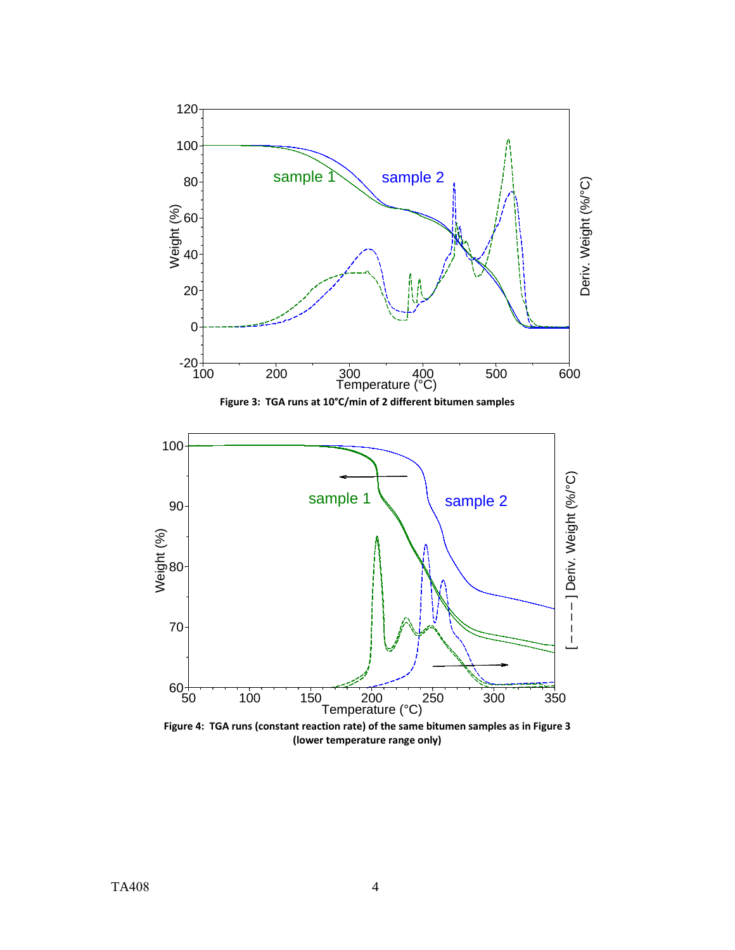

**(lower temperature range only)**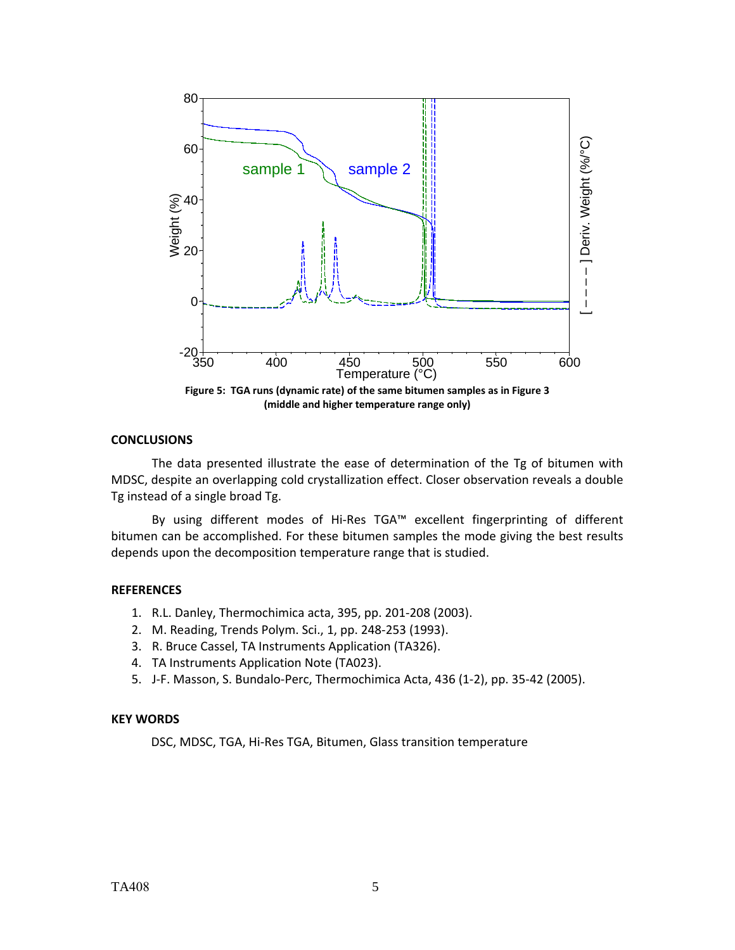

# **CONCLUSIONS**

The data presented illustrate the ease of determination of the Tg of bitumen with MDSC, despite an overlapping cold crystallization effect. Closer observation reveals a double Tg instead of a single broad Tg.

By using different modes of Hi‐Res TGA™ excellent fingerprinting of different bitumen can be accomplished. For these bitumen samples the mode giving the best results depends upon the decomposition temperature range that is studied.

# **REFERENCES**

- 1. R.L. Danley, Thermochimica acta, 395, pp. 201‐208 (2003).
- 2. M. Reading, Trends Polym. Sci., 1, pp. 248‐253 (1993).
- 3. R. Bruce Cassel, TA Instruments Application (TA326).
- 4. TA Instruments Application Note (TA023).
- 5. J‐F. Masson, S. Bundalo‐Perc, Thermochimica Acta, 436 (1‐2), pp. 35‐42 (2005).

# **KEY WORDS**

DSC, MDSC, TGA, Hi‐Res TGA, Bitumen, Glass transition temperature